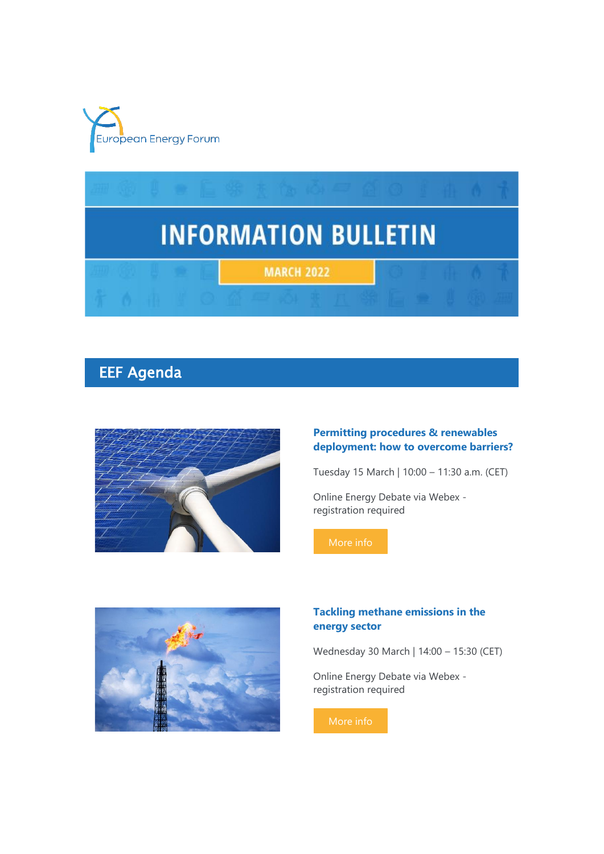



# EEF Agenda



#### **Permitting procedures & renewables deployment: how to overcome barriers?**

Tuesday 15 March | 10:00 – 11:30 a.m. (CET)

Online Energy Debate via Webex registration required



### **Tackling methane emissions in the energy sector**

Wednesday 30 March | 14:00 – 15:30 (CET)

Online Energy Debate via Webex registration required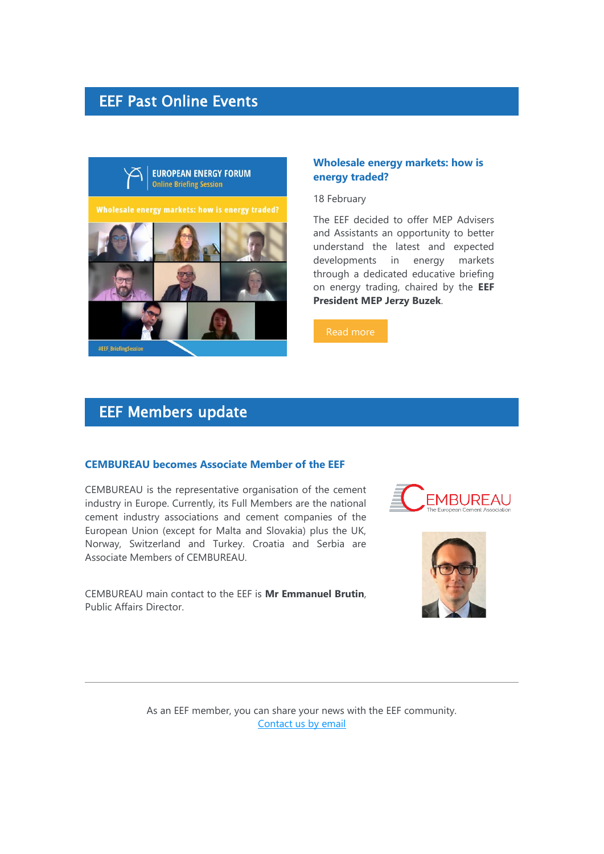## EEF Past Online Events



#### **Wholesale energy markets: how is energy traded?**

18 February

The EEF decided to offer MEP Advisers and Assistants an opportunity to better understand the latest and expected developments in energy markets through a dedicated educative briefing on energy trading, chaired by the **EEF President MEP Jerzy Buzek**.

[Read more](https://7n8k7.r.a.d.sendibm1.com/mk/cl/f/47ZOOcXfwSpPdgThv4-_3wevFEqsB6lG8A-K3ifUhU-llStNNSTwgyf3Btf2Oh515H-89d26V7RPdsyBWqYvwj7jhbMMZIpu4Q4wwws6Sc3-2gOV8tzjkhKruwlvcLjanENWHvbrHHhVGQA_Me29Xtm_oA2A15UE3ODS4UXilTULXnkcF4YBSKWGKlAvHECeuaGz_KuU4bJayftQkCuLPCKSZdQQo71jyD-ep3Jfr-n_NS27xTMT-bnP-nTUUN60fg5X2Ah3r-R-3Q)

### EEF Members update

#### **CEMBUREAU becomes Associate Member of the EEF**

CEMBUREAU is the representative organisation of the cement industry in Europe. Currently, its Full Members are the national cement industry associations and cement companies of the European Union (except for Malta and Slovakia) plus the UK, Norway, Switzerland and Turkey. Croatia and Serbia are Associate Members of CEMBUREAU.

CEMBUREAU main contact to the EEF is **Mr Emmanuel Brutin**, Public Affairs Director.





As an EEF member, you can share your news with the EEF community. [Contact us by email](mailto:assistant@europeanenergyforum.eu?subject=Information%20Bulletin%20-%20Member)